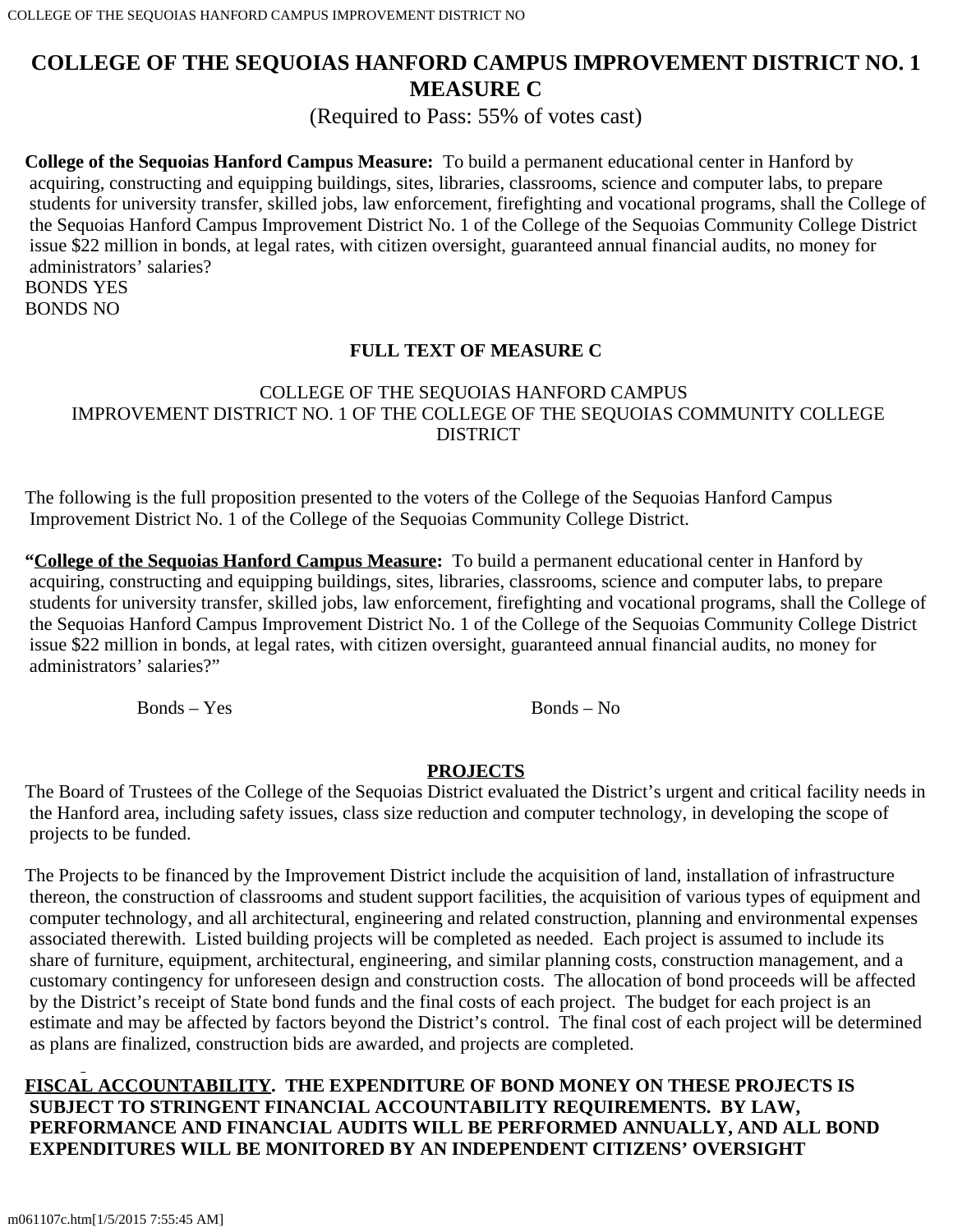# **COLLEGE OF THE SEQUOIAS HANFORD CAMPUS IMPROVEMENT DISTRICT NO. 1 MEASURE C**

(Required to Pass: 55% of votes cast)

**College of the Sequoias Hanford Campus Measure:** To build a permanent educational center in Hanford by acquiring, constructing and equipping buildings, sites, libraries, classrooms, science and computer labs, to prepare students for university transfer, skilled jobs, law enforcement, firefighting and vocational programs, shall the College of the Sequoias Hanford Campus Improvement District No. 1 of the College of the Sequoias Community College District issue \$22 million in bonds, at legal rates, with citizen oversight, guaranteed annual financial audits, no money for administrators' salaries? BONDS YES

BONDS NO

## **FULL TEXT OF MEASURE C**

### COLLEGE OF THE SEQUOIAS HANFORD CAMPUS IMPROVEMENT DISTRICT NO. 1 OF THE COLLEGE OF THE SEQUOIAS COMMUNITY COLLEGE DISTRICT

The following is the full proposition presented to the voters of the College of the Sequoias Hanford Campus Improvement District No. 1 of the College of the Sequoias Community College District.

**"College of the Sequoias Hanford Campus Measure:** To build a permanent educational center in Hanford by acquiring, constructing and equipping buildings, sites, libraries, classrooms, science and computer labs, to prepare students for university transfer, skilled jobs, law enforcement, firefighting and vocational programs, shall the College of the Sequoias Hanford Campus Improvement District No. 1 of the College of the Sequoias Community College District issue \$22 million in bonds, at legal rates, with citizen oversight, guaranteed annual financial audits, no money for administrators' salaries?"

 $Bonds - Yes$  Bonds – No

## **PROJECTS**

The Board of Trustees of the College of the Sequoias District evaluated the District's urgent and critical facility needs in the Hanford area, including safety issues, class size reduction and computer technology, in developing the scope of projects to be funded.

The Projects to be financed by the Improvement District include the acquisition of land, installation of infrastructure thereon, the construction of classrooms and student support facilities, the acquisition of various types of equipment and computer technology, and all architectural, engineering and related construction, planning and environmental expenses associated therewith. Listed building projects will be completed as needed. Each project is assumed to include its share of furniture, equipment, architectural, engineering, and similar planning costs, construction management, and a customary contingency for unforeseen design and construction costs. The allocation of bond proceeds will be affected by the District's receipt of State bond funds and the final costs of each project. The budget for each project is an estimate and may be affected by factors beyond the District's control. The final cost of each project will be determined as plans are finalized, construction bids are awarded, and projects are completed.

**FISCAL ACCOUNTABILITY. THE EXPENDITURE OF BOND MONEY ON THESE PROJECTS IS SUBJECT TO STRINGENT FINANCIAL ACCOUNTABILITY REQUIREMENTS. BY LAW, PERFORMANCE AND FINANCIAL AUDITS WILL BE PERFORMED ANNUALLY, AND ALL BOND EXPENDITURES WILL BE MONITORED BY AN INDEPENDENT CITIZENS' OVERSIGHT**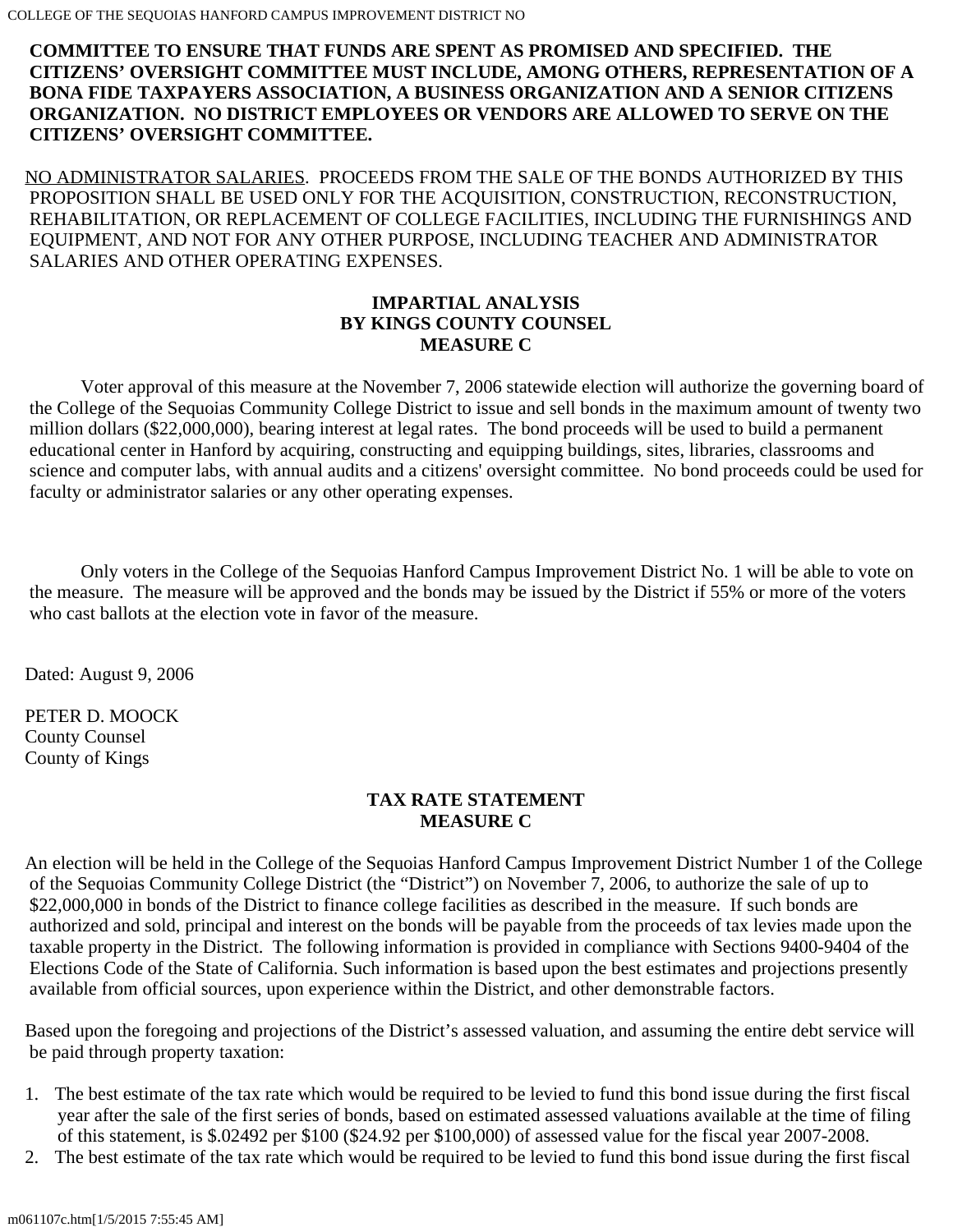COLLEGE OF THE SEQUOIAS HANFORD CAMPUS IMPROVEMENT DISTRICT NO

 **COMMITTEE TO ENSURE THAT FUNDS ARE SPENT AS PROMISED AND SPECIFIED. THE CITIZENS' OVERSIGHT COMMITTEE MUST INCLUDE, AMONG OTHERS, REPRESENTATION OF A BONA FIDE TAXPAYERS ASSOCIATION, A BUSINESS ORGANIZATION AND A SENIOR CITIZENS ORGANIZATION. NO DISTRICT EMPLOYEES OR VENDORS ARE ALLOWED TO SERVE ON THE CITIZENS' OVERSIGHT COMMITTEE.**

NO ADMINISTRATOR SALARIES. PROCEEDS FROM THE SALE OF THE BONDS AUTHORIZED BY THIS PROPOSITION SHALL BE USED ONLY FOR THE ACQUISITION, CONSTRUCTION, RECONSTRUCTION, REHABILITATION, OR REPLACEMENT OF COLLEGE FACILITIES, INCLUDING THE FURNISHINGS AND EQUIPMENT, AND NOT FOR ANY OTHER PURPOSE, INCLUDING TEACHER AND ADMINISTRATOR SALARIES AND OTHER OPERATING EXPENSES.

#### **IMPARTIAL ANALYSIS BY KINGS COUNTY COUNSEL MEASURE C**

Voter approval of this measure at the November 7, 2006 statewide election will authorize the governing board of the College of the Sequoias Community College District to issue and sell bonds in the maximum amount of twenty two million dollars (\$22,000,000), bearing interest at legal rates. The bond proceeds will be used to build a permanent educational center in Hanford by acquiring, constructing and equipping buildings, sites, libraries, classrooms and science and computer labs, with annual audits and a citizens' oversight committee. No bond proceeds could be used for faculty or administrator salaries or any other operating expenses.

Only voters in the College of the Sequoias Hanford Campus Improvement District No. 1 will be able to vote on the measure. The measure will be approved and the bonds may be issued by the District if 55% or more of the voters who cast ballots at the election vote in favor of the measure.

Dated: August 9, 2006

PETER D. MOOCK County Counsel County of Kings

### **TAX RATE STATEMENT MEASURE C**

An election will be held in the College of the Sequoias Hanford Campus Improvement District Number 1 of the College of the Sequoias Community College District (the "District") on November 7, 2006, to authorize the sale of up to \$22,000,000 in bonds of the District to finance college facilities as described in the measure. If such bonds are authorized and sold, principal and interest on the bonds will be payable from the proceeds of tax levies made upon the taxable property in the District. The following information is provided in compliance with Sections 9400-9404 of the Elections Code of the State of California. Such information is based upon the best estimates and projections presently available from official sources, upon experience within the District, and other demonstrable factors.

Based upon the foregoing and projections of the District's assessed valuation, and assuming the entire debt service will be paid through property taxation:

- 1. The best estimate of the tax rate which would be required to be levied to fund this bond issue during the first fiscal year after the sale of the first series of bonds, based on estimated assessed valuations available at the time of filing of this statement, is \$.02492 per \$100 (\$24.92 per \$100,000) of assessed value for the fiscal year 2007-2008.
- 2. The best estimate of the tax rate which would be required to be levied to fund this bond issue during the first fiscal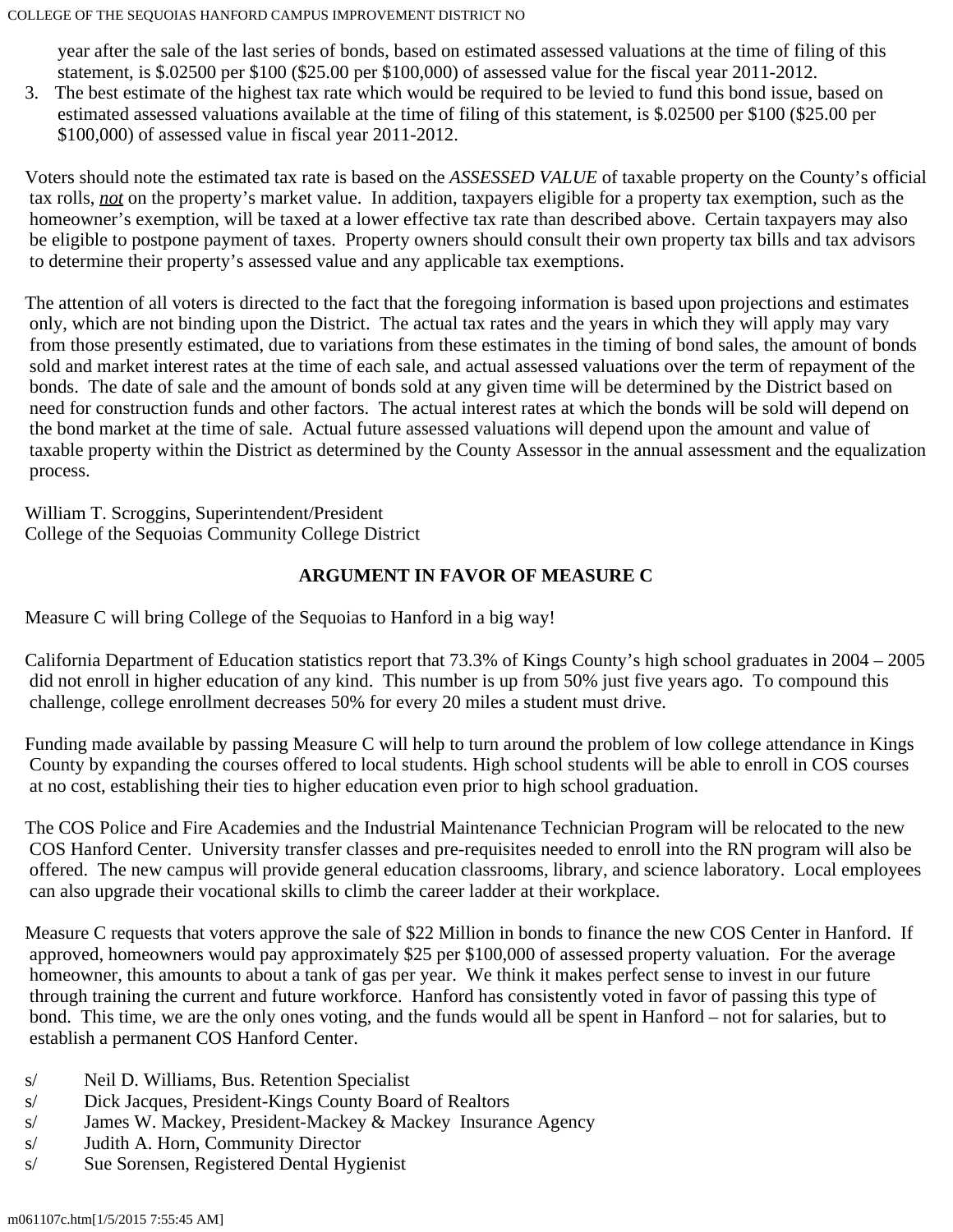year after the sale of the last series of bonds, based on estimated assessed valuations at the time of filing of this statement, is \$.02500 per \$100 (\$25.00 per \$100,000) of assessed value for the fiscal year 2011-2012.

3. The best estimate of the highest tax rate which would be required to be levied to fund this bond issue, based on estimated assessed valuations available at the time of filing of this statement, is \$.02500 per \$100 (\$25.00 per \$100,000) of assessed value in fiscal year 2011-2012.

Voters should note the estimated tax rate is based on the *ASSESSED VALUE* of taxable property on the County's official tax rolls, *not* on the property's market value. In addition, taxpayers eligible for a property tax exemption, such as the homeowner's exemption, will be taxed at a lower effective tax rate than described above. Certain taxpayers may also be eligible to postpone payment of taxes. Property owners should consult their own property tax bills and tax advisors to determine their property's assessed value and any applicable tax exemptions.

The attention of all voters is directed to the fact that the foregoing information is based upon projections and estimates only, which are not binding upon the District. The actual tax rates and the years in which they will apply may vary from those presently estimated, due to variations from these estimates in the timing of bond sales, the amount of bonds sold and market interest rates at the time of each sale, and actual assessed valuations over the term of repayment of the bonds. The date of sale and the amount of bonds sold at any given time will be determined by the District based on need for construction funds and other factors. The actual interest rates at which the bonds will be sold will depend on the bond market at the time of sale. Actual future assessed valuations will depend upon the amount and value of taxable property within the District as determined by the County Assessor in the annual assessment and the equalization process.

William T. Scroggins, Superintendent/President College of the Sequoias Community College District

## **ARGUMENT IN FAVOR OF MEASURE C**

Measure C will bring College of the Sequoias to Hanford in a big way!

California Department of Education statistics report that 73.3% of Kings County's high school graduates in 2004 – 2005 did not enroll in higher education of any kind. This number is up from 50% just five years ago. To compound this challenge, college enrollment decreases 50% for every 20 miles a student must drive.

Funding made available by passing Measure C will help to turn around the problem of low college attendance in Kings County by expanding the courses offered to local students. High school students will be able to enroll in COS courses at no cost, establishing their ties to higher education even prior to high school graduation.

The COS Police and Fire Academies and the Industrial Maintenance Technician Program will be relocated to the new COS Hanford Center. University transfer classes and pre-requisites needed to enroll into the RN program will also be offered. The new campus will provide general education classrooms, library, and science laboratory. Local employees can also upgrade their vocational skills to climb the career ladder at their workplace.

Measure C requests that voters approve the sale of \$22 Million in bonds to finance the new COS Center in Hanford. If approved, homeowners would pay approximately \$25 per \$100,000 of assessed property valuation. For the average homeowner, this amounts to about a tank of gas per year. We think it makes perfect sense to invest in our future through training the current and future workforce. Hanford has consistently voted in favor of passing this type of bond. This time, we are the only ones voting, and the funds would all be spent in Hanford – not for salaries, but to establish a permanent COS Hanford Center.

- s/ Neil D. Williams, Bus. Retention Specialist
- s/ Dick Jacques, President-Kings County Board of Realtors
- s/ James W. Mackey, President-Mackey & Mackey Insurance Agency
- s/ Judith A. Horn, Community Director
- s/ Sue Sorensen, Registered Dental Hygienist